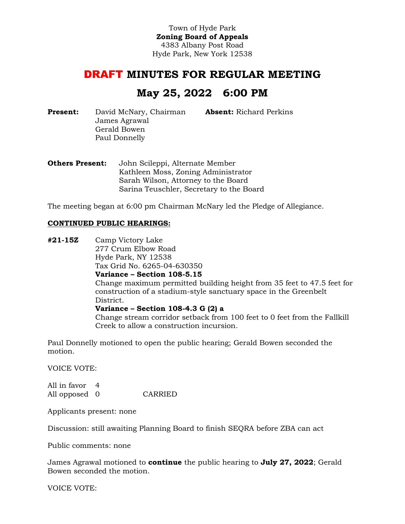Town of Hyde Park **Zoning Board of Appeals** 4383 Albany Post Road Hyde Park, New York 12538

# DRAFT **MINUTES FOR REGULAR MEETING**

# **May 25, 2022 6:00 PM**

**Absent:** Richard Perkins

**Present:** David McNary, Chairman James Agrawal Gerald Bowen Paul Donnelly

**Others Present:** John Scileppi, Alternate Member Kathleen Moss, Zoning Administrator Sarah Wilson, Attorney to the Board Sarina Teuschler, Secretary to the Board

The meeting began at 6:00 pm Chairman McNary led the Pledge of Allegiance.

#### **CONTINUED PUBLIC HEARINGS:**

**#21-15Z** Camp Victory Lake 277 Crum Elbow Road Hyde Park, NY 12538 Tax Grid No. 6265-04-630350 **Variance – Section 108-5.15** Change maximum permitted building height from 35 feet to 47.5 feet for construction of a stadium-style sanctuary space in the Greenbelt District. **Variance – Section 108-4.3 G (2) a** Change stream corridor setback from 100 feet to 0 feet from the Fallkill Creek to allow a construction incursion.

Paul Donnelly motioned to open the public hearing; Gerald Bowen seconded the motion.

VOICE VOTE:

All in favor 4 All opposed 0 CARRIED

Applicants present: none

Discussion: still awaiting Planning Board to finish SEQRA before ZBA can act

Public comments: none

James Agrawal motioned to **continue** the public hearing to **July 27, 2022**; Gerald Bowen seconded the motion.

VOICE VOTE: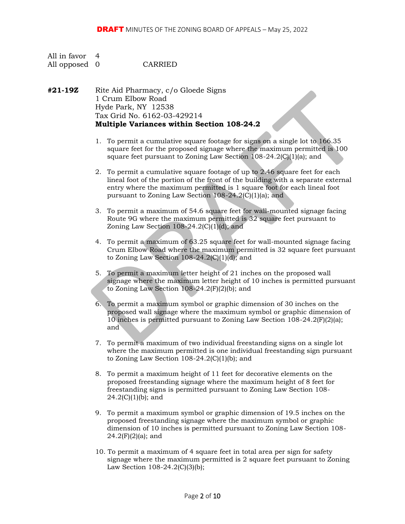| All in favor 4 |         |
|----------------|---------|
| All opposed 0  | CARRIED |

**#21-19Z** Rite Aid Pharmacy, c/o Gloede Signs 1 Crum Elbow Road Hyde Park, NY 12538 Tax Grid No. 6162-03-429214 **Multiple Variances within Section 108-24.2**

- 1. To permit a cumulative square footage for signs on a single lot to 166.35 square feet for the proposed signage where the maximum permitted is 100 square feet pursuant to Zoning Law Section 108-24.2(C)(1)(a); and
- 2. To permit a cumulative square footage of up to 2.46 square feet for each lineal foot of the portion of the front of the building with a separate external entry where the maximum permitted is 1 square foot for each lineal foot pursuant to Zoning Law Section 108-24.2(C)(1)(a); and
- 3. To permit a maximum of 54.6 square feet for wall-mounted signage facing Route 9G where the maximum permitted is 32 square feet pursuant to Zoning Law Section  $108-24.2(C)(1)(d)$ ; and
- 4. To permit a maximum of 63.25 square feet for wall-mounted signage facing Crum Elbow Road where the maximum permitted is 32 square feet pursuant to Zoning Law Section 108-24.2(C)(1)(d); and
- 5. To permit a maximum letter height of 21 inches on the proposed wall signage where the maximum letter height of 10 inches is permitted pursuant to Zoning Law Section 108-24.2(F)(2)(b); and
- 6. To permit a maximum symbol or graphic dimension of 30 inches on the proposed wall signage where the maximum symbol or graphic dimension of 10 inches is permitted pursuant to Zoning Law Section 108-24.2(F)(2)(a); and
- 7. To permit a maximum of two individual freestanding signs on a single lot where the maximum permitted is one individual freestanding sign pursuant to Zoning Law Section  $108-24.2(C)(1)(b)$ ; and
- 8. To permit a maximum height of 11 feet for decorative elements on the proposed freestanding signage where the maximum height of 8 feet for freestanding signs is permitted pursuant to Zoning Law Section 108-  $24.2(C)(1)(b)$ ; and
- 9. To permit a maximum symbol or graphic dimension of 19.5 inches on the proposed freestanding signage where the maximum symbol or graphic dimension of 10 inches is permitted pursuant to Zoning Law Section 108-  $24.2(F)(2)(a)$ ; and
- 10. To permit a maximum of 4 square feet in total area per sign for safety signage where the maximum permitted is 2 square feet pursuant to Zoning Law Section 108-24.2(C)(3)(b);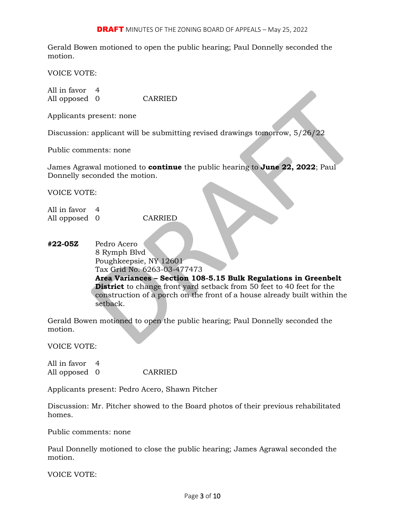Gerald Bowen motioned to open the public hearing; Paul Donnelly seconded the motion.

VOICE VOTE:

All in favor 4 All opposed 0 CARRIED

Applicants present: none

Discussion: applicant will be submitting revised drawings tomorrow, 5/26/22

Public comments: none

James Agrawal motioned to **continue** the public hearing to **June 22, 2022**; Paul Donnelly seconded the motion.

VOICE VOTE:

All in favor 4 All opposed 0 CARRIED

**#22-05Z** Pedro Acero 8 Rymph Blvd Poughkeepsie, NY 12601 Tax Grid No. 6263-03-477473 **Area Variances – Section 108-5.15 Bulk Regulations in Greenbelt District** to change front yard setback from 50 feet to 40 feet for the construction of a porch on the front of a house already built within the setback.

Gerald Bowen motioned to open the public hearing; Paul Donnelly seconded the motion.

VOICE VOTE:

All in favor 4 All opposed 0 CARRIED

Applicants present: Pedro Acero, Shawn Pitcher

Discussion: Mr. Pitcher showed to the Board photos of their previous rehabilitated homes.

Public comments: none

Paul Donnelly motioned to close the public hearing; James Agrawal seconded the motion.

VOICE VOTE: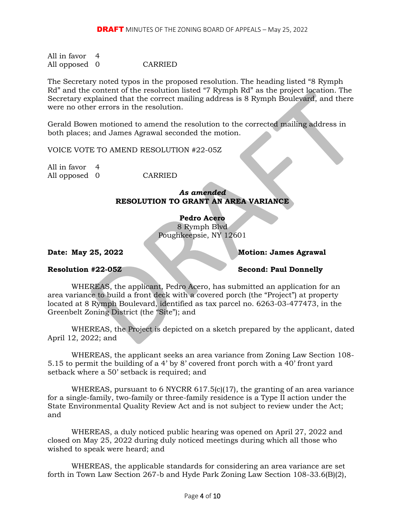All in favor 4 All opposed 0 CARRIED

The Secretary noted typos in the proposed resolution. The heading listed "8 Rymph Rd" and the content of the resolution listed "7 Rymph Rd" as the project location. The Secretary explained that the correct mailing address is 8 Rymph Boulevard, and there were no other errors in the resolution.

Gerald Bowen motioned to amend the resolution to the corrected mailing address in both places; and James Agrawal seconded the motion.

VOICE VOTE TO AMEND RESOLUTION #22-05Z

All in favor 4 All opposed 0 CARRIED

## *As amended* **RESOLUTION TO GRANT AN AREA VARIANCE**

**Pedro Acero**

8 Rymph Blvd Poughkeepsie, NY 12601

## **Date: May 25, 2022 Motion: James Agrawal**

# **Resolution #22-05Z Second: Paul Donnelly**

WHEREAS, the applicant, Pedro Acero, has submitted an application for an area variance to build a front deck with a covered porch (the "Project") at property located at 8 Rymph Boulevard, identified as tax parcel no. 6263-03-477473, in the Greenbelt Zoning District (the "Site"); and

WHEREAS, the Project is depicted on a sketch prepared by the applicant, dated April 12, 2022; and

WHEREAS, the applicant seeks an area variance from Zoning Law Section 108- 5.15 to permit the building of a 4' by 8' covered front porch with a 40' front yard setback where a 50' setback is required; and

WHEREAS, pursuant to 6 NYCRR 617.5(c)(17), the granting of an area variance for a single-family, two-family or three-family residence is a Type II action under the State Environmental Quality Review Act and is not subject to review under the Act; and

WHEREAS, a duly noticed public hearing was opened on April 27, 2022 and closed on May 25, 2022 during duly noticed meetings during which all those who wished to speak were heard; and

WHEREAS, the applicable standards for considering an area variance are set forth in Town Law Section 267-b and Hyde Park Zoning Law Section 108-33.6(B)(2),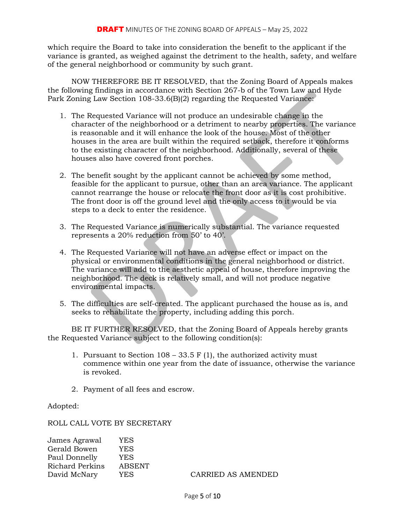which require the Board to take into consideration the benefit to the applicant if the variance is granted, as weighed against the detriment to the health, safety, and welfare of the general neighborhood or community by such grant.

NOW THEREFORE BE IT RESOLVED, that the Zoning Board of Appeals makes the following findings in accordance with Section 267-b of the Town Law and Hyde Park Zoning Law Section 108-33.6(B)(2) regarding the Requested Variance:

- 1. The Requested Variance will not produce an undesirable change in the character of the neighborhood or a detriment to nearby properties. The variance is reasonable and it will enhance the look of the house. Most of the other houses in the area are built within the required setback, therefore it conforms to the existing character of the neighborhood. Additionally, several of these houses also have covered front porches.
- 2. The benefit sought by the applicant cannot be achieved by some method, feasible for the applicant to pursue, other than an area variance. The applicant cannot rearrange the house or relocate the front door as it is cost prohibitive. The front door is off the ground level and the only access to it would be via steps to a deck to enter the residence.
- 3. The Requested Variance is numerically substantial. The variance requested represents a 20% reduction from 50' to 40'.
- 4. The Requested Variance will not have an adverse effect or impact on the physical or environmental conditions in the general neighborhood or district. The variance will add to the aesthetic appeal of house, therefore improving the neighborhood. The deck is relatively small, and will not produce negative environmental impacts.
- 5. The difficulties are self-created. The applicant purchased the house as is, and seeks to rehabilitate the property, including adding this porch.

BE IT FURTHER RESOLVED, that the Zoning Board of Appeals hereby grants the Requested Variance subject to the following condition(s):

- 1. Pursuant to Section  $108 33.5$  F (1), the authorized activity must commence within one year from the date of issuance, otherwise the variance is revoked.
- 2. Payment of all fees and escrow.

Adopted:

ROLL CALL VOTE BY SECRETARY

| James Agrawal<br>Gerald Bowen | YES<br>YES |                    |
|-------------------------------|------------|--------------------|
| Paul Donnelly                 | YES        |                    |
| Richard Perkins               | ABSENT     |                    |
| David McNary                  | YES.       | CARRIED AS AMENDED |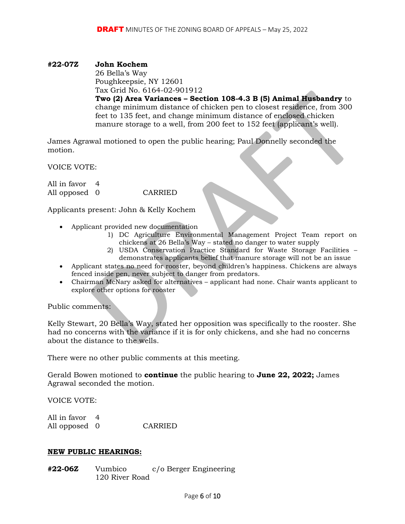### **#22-07Z John Kochem**

26 Bella's Way Poughkeepsie, NY 12601 Tax Grid No. 6164-02-901912 **Two (2) Area Variances – Section 108-4.3 B (5) Animal Husbandry** to change minimum distance of chicken pen to closest residence, from 300 feet to 135 feet, and change minimum distance of enclosed chicken manure storage to a well, from 200 feet to 152 feet (applicant's well).

James Agrawal motioned to open the public hearing; Paul Donnelly seconded the motion.

VOICE VOTE:

All in favor 4 All opposed 0 CARRIED

Applicants present: John & Kelly Kochem

- Applicant provided new documentation
	- 1) DC Agriculture Environmental Management Project Team report on chickens at 26 Bella's Way – stated no danger to water supply
	- 2) USDA Conservation Practice Standard for Waste Storage Facilities demonstrates applicants belief that manure storage will not be an issue
- Applicant states no need for rooster, beyond children's happiness. Chickens are always fenced inside pen, never subject to danger from predators.
- Chairman McNary asked for alternatives applicant had none. Chair wants applicant to explore other options for rooster

Public comments:

Kelly Stewart, 20 Bella's Way, stated her opposition was specifically to the rooster. She had no concerns with the variance if it is for only chickens, and she had no concerns about the distance to the wells.

There were no other public comments at this meeting.

Gerald Bowen motioned to **continue** the public hearing to **June 22, 2022;** James Agrawal seconded the motion.

VOICE VOTE:

| All in favor 4 |         |
|----------------|---------|
| All opposed 0  | CARRIED |

#### **NEW PUBLIC HEARINGS:**

**#22-06Z** Vumbico c/o Berger Engineering 120 River Road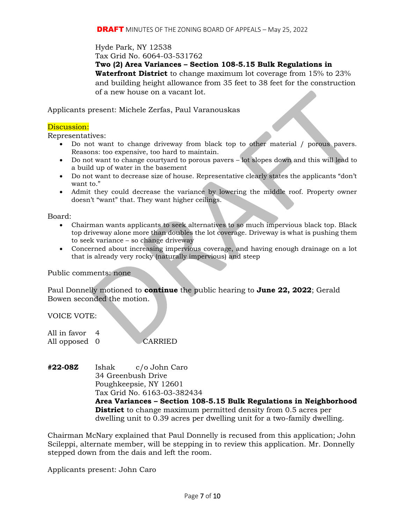Hyde Park, NY 12538

Tax Grid No. 6064-03-531762

**Two (2) Area Variances – Section 108-5.15 Bulk Regulations in Waterfront District** to change maximum lot coverage from 15% to 23% and building height allowance from 35 feet to 38 feet for the construction of a new house on a vacant lot.

Applicants present: Michele Zerfas, Paul Varanouskas

#### Discussion:

Representatives:

- Do not want to change driveway from black top to other material / porous pavers. Reasons: too expensive, too hard to maintain.
- Do not want to change courtyard to porous pavers lot slopes down and this will lead to a build up of water in the basement
- Do not want to decrease size of house. Representative clearly states the applicants "don't want to."
- Admit they could decrease the variance by lowering the middle roof. Property owner doesn't "want" that. They want higher ceilings.

Board:

- Chairman wants applicants to seek alternatives to so much impervious black top. Black top driveway alone more than doubles the lot coverage. Driveway is what is pushing them to seek variance – so change driveway
- Concerned about increasing impervious coverage, and having enough drainage on a lot that is already very rocky (naturally impervious) and steep

Public comments: none

Paul Donnelly motioned to **continue** the public hearing to **June 22, 2022**; Gerald Bowen seconded the motion.

VOICE VOTE:

| All in favor 4 |                |
|----------------|----------------|
| All opposed 0  | <b>CARRIED</b> |

**#22-08Z** Ishak c/o John Caro 34 Greenbush Drive Poughkeepsie, NY 12601 Tax Grid No. 6163-03-382434 **Area Variances – Section 108-5.15 Bulk Regulations in Neighborhood District** to change maximum permitted density from 0.5 acres per dwelling unit to 0.39 acres per dwelling unit for a two-family dwelling.

Chairman McNary explained that Paul Donnelly is recused from this application; John Scileppi, alternate member, will be stepping in to review this application. Mr. Donnelly stepped down from the dais and left the room.

Applicants present: John Caro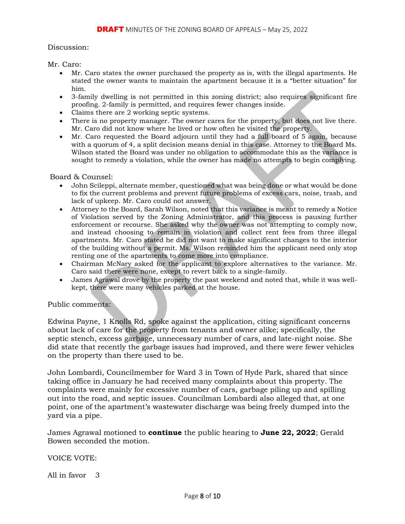#### Discussion:

Mr. Caro:

- Mr. Caro states the owner purchased the property as is, with the illegal apartments. He stated the owner wants to maintain the apartment because it is a "better situation" for him.
- 3-family dwelling is not permitted in this zoning district; also requires significant fire proofing. 2-family is permitted, and requires fewer changes inside.
- Claims there are 2 working septic systems.
- There is no property manager. The owner cares for the property, but does not live there. Mr. Caro did not know where he lived or how often he visited the property.
- Mr. Caro requested the Board adjourn until they had a full board of 5 again, because with a quorum of 4, a split decision means denial in this case. Attorney to the Board Ms. Wilson stated the Board was under no obligation to accommodate this as the variance is sought to remedy a violation, while the owner has made no attempts to begin complying.

#### Board & Counsel:

- John Scileppi, alternate member, questioned what was being done or what would be done to fix the current problems and prevent future problems of excess cars, noise, trash, and lack of upkeep. Mr. Caro could not answer.
- Attorney to the Board, Sarah Wilson, noted that this variance is meant to remedy a Notice of Violation served by the Zoning Administrator, and this process is pausing further enforcement or recourse. She asked why the owner was not attempting to comply now, and instead choosing to remain in violation and collect rent fees from three illegal apartments. Mr. Caro stated he did not want to make significant changes to the interior of the building without a permit. Ms. Wilson reminded him the applicant need only stop renting one of the apartments to come more into compliance.
- Chairman McNary asked for the applicant to explore alternatives to the variance. Mr. Caro said there were none, except to revert back to a single-family.
- James Agrawal drove by the property the past weekend and noted that, while it was wellkept, there were many vehicles parked at the house.

#### Public comments:

Edwina Payne, 1 Knolls Rd, spoke against the application, citing significant concerns about lack of care for the property from tenants and owner alike; specifically, the septic stench, excess garbage, unnecessary number of cars, and late-night noise. She did state that recently the garbage issues had improved, and there were fewer vehicles on the property than there used to be.

John Lombardi, Councilmember for Ward 3 in Town of Hyde Park, shared that since taking office in January he had received many complaints about this property. The complaints were mainly for excessive number of cars, garbage piling up and spilling out into the road, and septic issues. Councilman Lombardi also alleged that, at one point, one of the apartment's wastewater discharge was being freely dumped into the yard via a pipe.

James Agrawal motioned to **continue** the public hearing to **June 22, 2022**; Gerald Bowen seconded the motion.

VOICE VOTE:

All in favor 3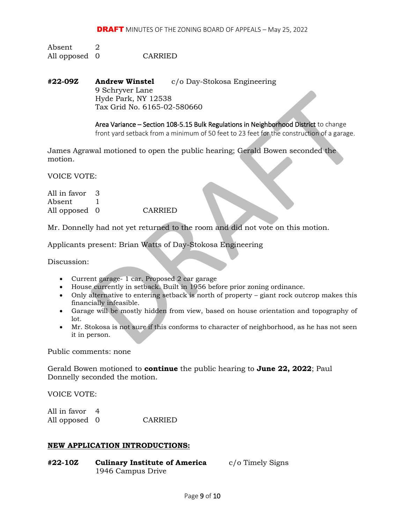Absent 2 All opposed 0 CARRIED

**#22-09Z Andrew Winstel** c/o Day-Stokosa Engineering 9 Schryver Lane Hyde Park, NY 12538 Tax Grid No. 6165-02-580660

> Area Variance – Section 108-5.15 Bulk Regulations in Neighborhood District to change front yard setback from a minimum of 50 feet to 23 feet for the construction of a garage.

James Agrawal motioned to open the public hearing; Gerald Bowen seconded the motion.

VOICE VOTE:

All in favor 3 Absent 1 All opposed 0 CARRIED

Mr. Donnelly had not yet returned to the room and did not vote on this motion.

Applicants present: Brian Watts of Day-Stokosa Engineering

Discussion:

- Current garage- 1 car. Proposed 2 car garage
- House currently in setback. Built in 1956 before prior zoning ordinance.
- Only alternative to entering setback is north of property giant rock outcrop makes this financially infeasible.
- Garage will be mostly hidden from view, based on house orientation and topography of lot.
- Mr. Stokosa is not sure if this conforms to character of neighborhood, as he has not seen it in person.

Public comments: none

Gerald Bowen motioned to **continue** the public hearing to **June 22, 2022**; Paul Donnelly seconded the motion.

VOICE VOTE:

All in favor 4 All opposed 0 CARRIED

#### **NEW APPLICATION INTRODUCTIONS:**

**#22-10Z Culinary Institute of America** c/o Timely Signs 1946 Campus Drive